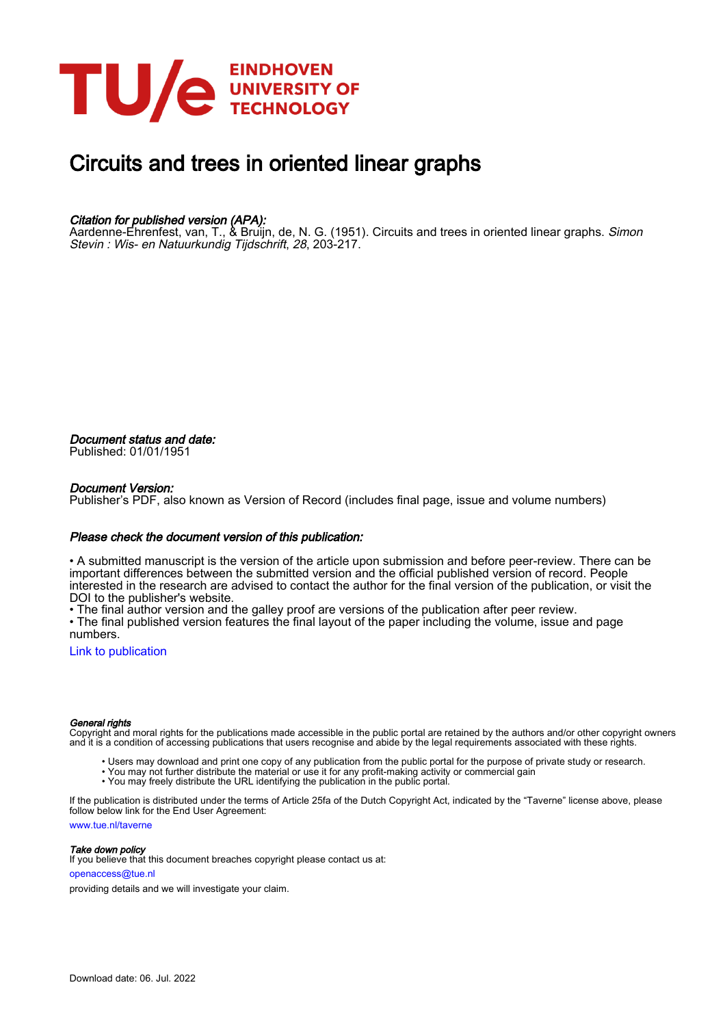

# Circuits and trees in oriented linear graphs

## Citation for published version (APA):

Aardenne-Ehrenfest, van, T., & Bruijn, de, N. G. (1951). Circuits and trees in oriented linear graphs. *Simon* Stevin : Wis- en Natuurkundig Tijdschrift, 28, 203-217.

Document status and date: Published: 01/01/1951

## Document Version:

Publisher's PDF, also known as Version of Record (includes final page, issue and volume numbers)

## Please check the document version of this publication:

• A submitted manuscript is the version of the article upon submission and before peer-review. There can be important differences between the submitted version and the official published version of record. People interested in the research are advised to contact the author for the final version of the publication, or visit the DOI to the publisher's website.

• The final author version and the galley proof are versions of the publication after peer review.

• The final published version features the final layout of the paper including the volume, issue and page numbers.

[Link to publication](https://research.tue.nl/en/publications/c88d204c-d1e1-4a7d-afc8-bd9f0b7e08bd)

#### General rights

Copyright and moral rights for the publications made accessible in the public portal are retained by the authors and/or other copyright owners and it is a condition of accessing publications that users recognise and abide by the legal requirements associated with these rights.

- Users may download and print one copy of any publication from the public portal for the purpose of private study or research.
- You may not further distribute the material or use it for any profit-making activity or commercial gain
- You may freely distribute the URL identifying the publication in the public portal.

If the publication is distributed under the terms of Article 25fa of the Dutch Copyright Act, indicated by the "Taverne" license above, please follow below link for the End User Agreement:

www.tue.nl/taverne

**Take down policy**<br>If you believe that this document breaches copyright please contact us at:

openaccess@tue.nl

providing details and we will investigate your claim.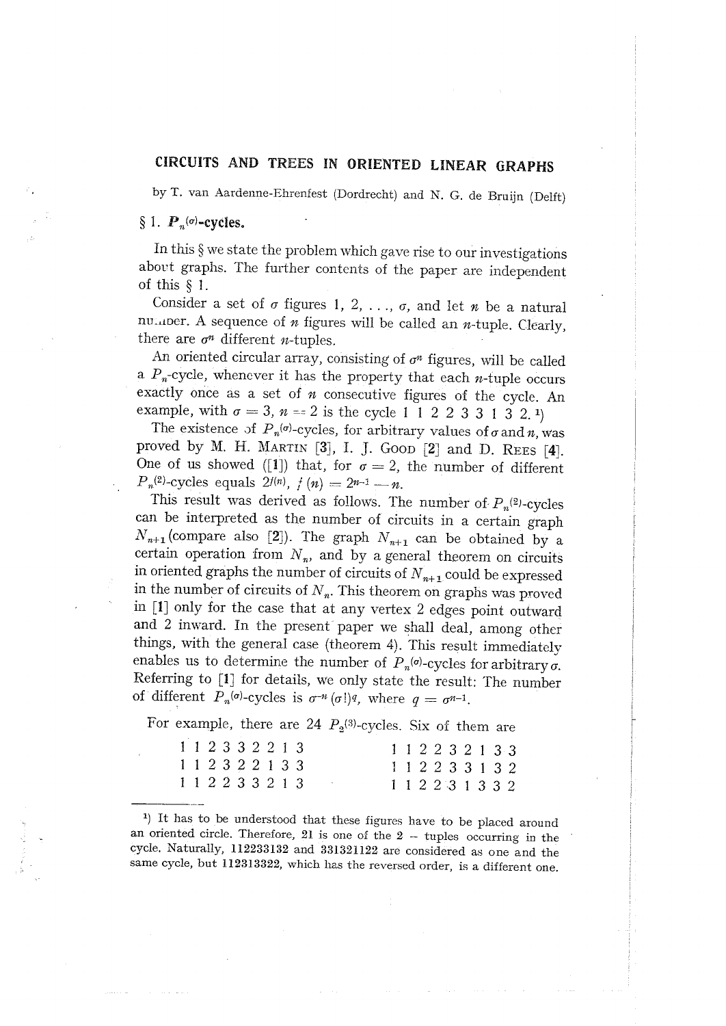## CIRCUITS AND TREES IN ORIENTED LINEAR GRAPHS

by T. van Aardenne-Ehrenfest (Dordrecht) and N. G. de Bruijn (Delft)

## § 1.  $P_n(\sigma)$ -cycles.

In this § we state the problem which gave rise to our investigations about graphs. The further contents of the paper are independent of this  $§$  1.

Consider a set of  $\sigma$  figures 1, 2, ...,  $\sigma$ , and let  $n$  be a natural number. A sequence of  $n$  figures will be called an  $n$ -tuple. Clearly, there are  $\sigma^n$  different *n*-tuples.

An oriented circular array, consisting of  $\sigma^n$  figures, will be called a  $P_n$ -cycle, whenever it has the property that each *n*-tuple occurs exactly once as a set of  $n$  consecutive figures of the cycle. An example, with  $\sigma = 3$ ,  $n = 2$  is the cycle 1 1 2 2 3 3 1 3 2 1

The existence of  $P_n(\sigma)$ -cycles, for arbitrary values of  $\sigma$  and n, was proved by M. H. MARTIN [3], I. J. GOOD [2] and D. REES [4]. One of us showed ([1]) that, for  $\sigma = 2$ , the number of different  $P_n^{(2)}$ -cycles equals  $2^{f(n)}$ ,  $f(n) = 2^{n-1} - n$ .

This result was derived as follows. The number of  $P_n^{(2)}$ -cycles can be interpreted as the number of circuits in a certain graph  $N_{n+1}$  (compare also [2]). The graph  $N_{n+1}$  can be obtained by a certain operation from  $N_n$ , and by a general theorem on circuits in oriented graphs the number of circuits of  $N_{n+1}$  could be expressed in the number of circuits of  $N_n$ . This theorem on graphs was proved in [1] only for the case that at any vertex 2 edges point outward and 2 inward. In the present paper we shall deal, among other things, with the general case (theorem 4). This result immediately enables us to determine the number of  $P_n^{(o)}$ -cycles for arbitrary  $\sigma$ . Referring to [1] for details, we only state the result: The number of different  $P_n(\sigma)$ -cycles is  $\sigma^{n}(\sigma)$ , where  $q = \sigma^{n-1}$ .

For example, there are 24  $P_2^{(3)}$ -cycles. Six of them are

| 1 1 2 3 3 2 2 1 3 |  |  |  |  |  |  |  |  | 1 1 2 2 3 2 1 3 3 |  |
|-------------------|--|--|--|--|--|--|--|--|-------------------|--|
| 1 1 2 3 2 2 1 3 3 |  |  |  |  |  |  |  |  | 1 1 2 2 3 3 1 3 2 |  |
| 1 1 2 2 3 3 2 1 3 |  |  |  |  |  |  |  |  | 1 1 2 2 3 1 3 3 2 |  |

1) It has to be understood that these figures have to be placed around an oriented circle. Therefore,  $21$  is one of the  $2 -$  tuples occurring in the cycle. Naturally, 112233132 and 331321122 are considered as one and the same cycle, but 112313322, which has the reversed order, is a different one.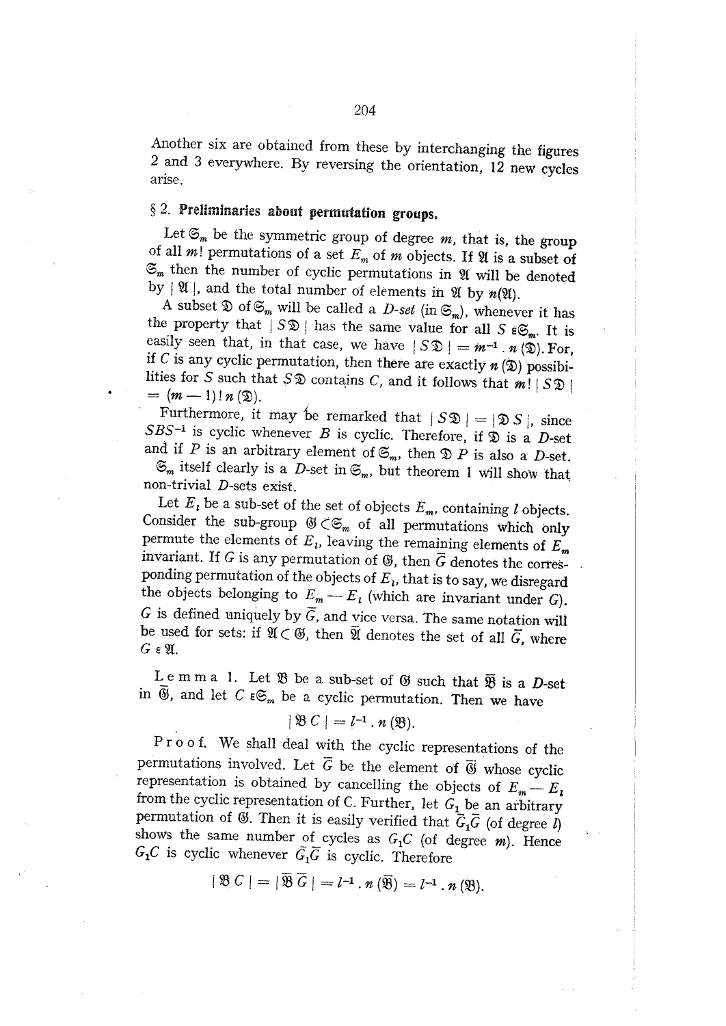Another six are obtained from these by interchanging the figures 2 and 3 everywhere. By reversing the orientation, 12 new cycles arise.

## $§$  2. Preliminaries about permutation groups.

Let  $\mathfrak{S}_m$  be the symmetric group of degree m, that is, the group of all  $m!$  permutations of a set  $E_m$  of m objects. If  $\mathfrak A$  is a subset of  $\mathfrak{S}_m$  then the number of cyclic permutations in  $\mathfrak A$  will be denoted by  $|\mathfrak{A}|$ , and the total number of elements in  $\mathfrak{A}$  by  $n(\mathfrak{A})$ .

A subset  $\mathfrak D$  of  $\mathfrak{S}_m$  will be called a *D-set* (in  $\mathfrak{S}_m$ ), whenever it has the property that  $|S\mathfrak{D}|$  has the same value for all  $S \in \mathfrak{S}_m$ . It is easily seen that, in that case, we have  $|S \mathfrak{D}| = m^{-1} \cdot n(\mathfrak{D})$ . For, if C is any cyclic permutation, then there are exactly  $n(\mathfrak{D})$  possibilities for S such that  $S\mathfrak{D}$  contains C, and it follows that  $m! |S\mathfrak{D}|$  $= (m-1)! n (\mathfrak{D}).$ 

Furthermore, it may be remarked that  $|S\mathfrak{D}| = |\mathfrak{D} S|$ , since SBS<sup>-1</sup> is cyclic whenever B is cyclic. Therefore, if  $\mathfrak D$  is a D-set and if P is an arbitrary element of  $\mathfrak{S}_m$ , then  $\mathfrak{D} P$  is also a D-set.

 $\mathfrak{S}_m$  itself clearly is a D-set in  $\mathfrak{S}_m$ , but theorem 1 will show that non-trivial D-sets exist.

Let  $E_i$  be a sub-set of the set of objects  $E_m$ , containing l objects. Consider the sub-group  $\mathfrak{G} \subset \mathfrak{S}_m$  of all permutations which only permute the elements of  $E_i$ , leaving the remaining elements of  $E_m$ invariant. If G is any permutation of  $\mathfrak G$ , then  $\overline G$  denotes the corresponding permutation of the objects of  $E_i$ , that is to say, we disregard the objects belonging to  $E_m - E_l$  (which are invariant under G). G is defined uniquely by  $\overline{G}$ , and vice versa. The same notation will be used for sets: if  $\mathfrak{A} \subset \mathfrak{G}$ , then  $\overline{\mathfrak{A}}$  denotes the set of all  $\overline{G}$ , where  $G$  ε  $\mathfrak{A}$ .

Lemma 1. Let  $\mathfrak B$  be a sub-set of  $\mathfrak G$  such that  $\overline{\mathfrak B}$  is a D-set in  $\overline{\mathfrak{G}}$ , and let  $C \in \mathfrak{S}_m$  be a cyclic permutation. Then we have

## $|\mathfrak{B} C| = l^{-1} \cdot n \mathfrak{(B)}.$

Proof. We shall deal with the cyclic representations of the permutations involved. Let  $\overline{G}$  be the element of  $\overline{\mathfrak{G}}$  whose cyclic representation is obtained by cancelling the objects of  $E_m - E_i$ from the cyclic representation of C. Further, let  $G_1$  be an arbitrary permutation of  $\mathfrak{G}$ . Then it is easily verified that  $\vec{G}_1\vec{G}$  (of degree  $l$ ) shows the same number of cycles as  $G_1C$  (of degree m). Hence  $G_1C$  is cyclic whenever  $\tilde{G}_1\overline{G}$  is cyclic. Therefore

$$
|\mathfrak{B} C| = |\mathfrak{B} G| = l^{-1} \cdot n \left( \mathfrak{B} \right) = l^{-1} \cdot n \left( \mathfrak{B} \right).
$$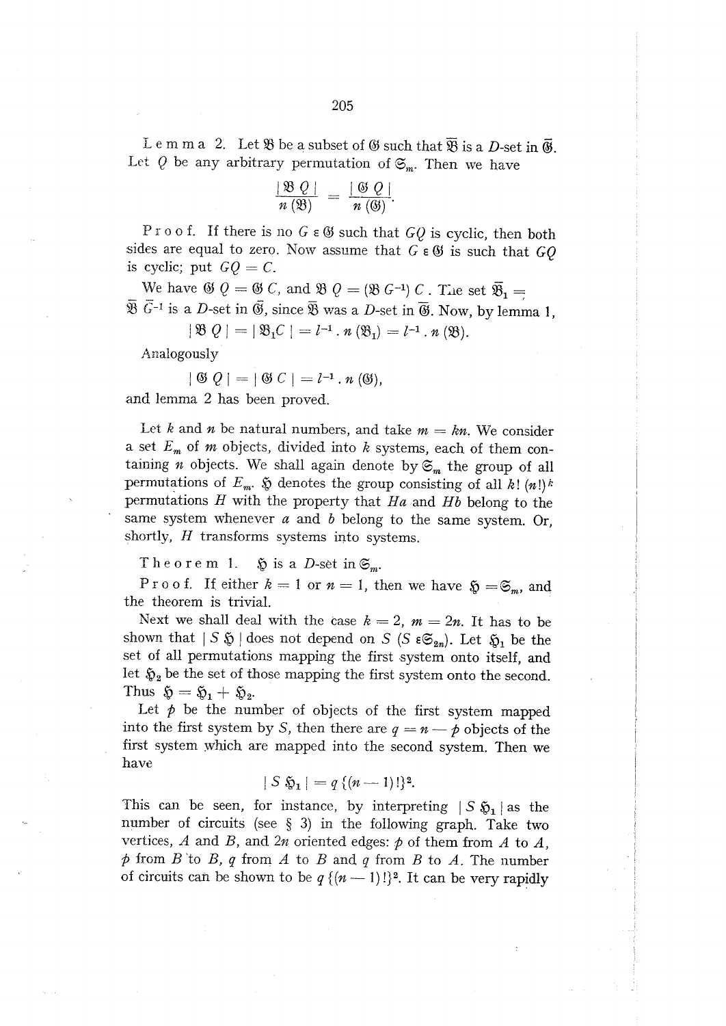Lemma 2. Let  $\mathfrak{B}$  be a subset of  $\mathfrak{G}$  such that  $\overline{\mathfrak{B}}$  is a D-set in  $\overline{\mathfrak{G}}$ . Let  $Q$  be any arbitrary permutation of  $\mathfrak{S}_m$ . Then we have

$$
\frac{|\mathfrak{B}\ Q|}{n\left(\mathfrak{B}\right)}\ =\ \frac{|\ \mathfrak{G}\ Q\ |}{n\left(\mathfrak{G}\right)}.
$$

Proof. If there is no  $G \in \mathfrak{G}$  such that  $GQ$  is cyclic, then both sides are equal to zero. Now assume that  $G \in \mathfrak{G}$  is such that  $GQ$ is cyclic; put  $GQ = C$ .

We have  $\mathfrak{G} Q = \mathfrak{G} C$ , and  $\mathfrak{B} Q = (\mathfrak{B} G^{-1}) C$ . The set  $\overline{\mathfrak{B}}_1 =$  $\overline{\mathfrak{B}}$   $\overline{G}^{-1}$  is a D-set in  $\overline{\mathfrak{G}}$ , since  $\overline{\mathfrak{B}}$  was a D-set in  $\overline{\mathfrak{G}}$ . Now, by lemma 1,

 $|\mathfrak{B} Q| = |\mathfrak{B}_1 C| = l^{-1} \cdot n (\mathfrak{B}_1) = l^{-1} \cdot n (\mathfrak{B}).$ 

Analogously

$$
|\mathfrak{G} Q| = |\mathfrak{G} C| = l^{-1} \cdot n \mathfrak{(G)},
$$

and lemma 2 has been proved.

Let k and n be natural numbers, and take  $m = kn$ . We consider a set  $E_m$  of m objects, divided into k systems, each of them containing *n* objects. We shall again denote by  $\mathfrak{S}_m$  the group of all permutations of  $E_m$ .  $\tilde{y}$  denotes the group consisting of all k!  $(n!)^k$ permutations  $H$  with the property that  $Ha$  and  $Hb$  belong to the same system whenever  $a$  and  $b$  belong to the same system. Or, shortly,  $H$  transforms systems into systems.

Theorem 1.  $\mathfrak{H}$  is a D-set in  $\mathfrak{S}_m$ .

Proof. If either  $k = 1$  or  $n = 1$ , then we have  $\mathfrak{H} = \mathfrak{S}_m$ , and the theorem is trivial.

Next we shall deal with the case  $k = 2$ ,  $m = 2n$ . It has to be shown that  $|S \mathfrak{H}|$  does not depend on S (S  $\epsilon \mathfrak{S}_{2n}$ ). Let  $\mathfrak{H}_1$  be the set of all permutations mapping the first system onto itself, and let  $\mathfrak{H}_2$  be the set of those mapping the first system onto the second. Thus  $\mathfrak{H} = \mathfrak{H}_1 + \mathfrak{H}_2$ .

Let  $p$  be the number of objects of the first system mapped into the first system by S, then there are  $q = n - p$  objects of the first system which are mapped into the second system. Then we have

 $|S \mathfrak{H}_1| = q \{ (n-1)!\}^2.$ 

This can be seen, for instance, by interpreting  $|S\,\mathfrak{H}_1|$  as the number of circuits (see § 3) in the following graph. Take two vertices, A and B, and  $2n$  oriented edges:  $p$  of them from A to A,  $\phi$  from B to B, q from A to B and q from B to A. The number of circuits can be shown to be  $q \{(n-1)!\}^2$ . It can be very rapidly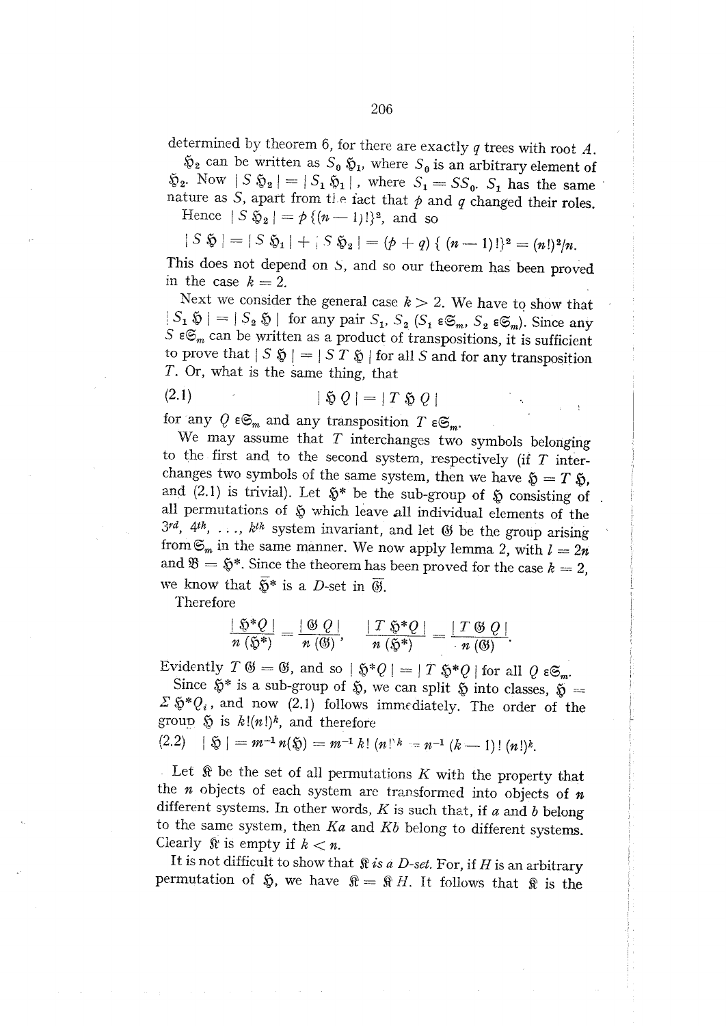determined by theorem 6, for there are exactly  $q$  trees with root  $A$ .

 $\mathfrak{D}_2$  can be written as  $S_0 \mathfrak{D}_1$ , where  $S_0$  is an arbitrary element of  $\tilde{\mathfrak{v}}_2$ . Now  $|S \mathfrak{H}_2| = |S_1 \mathfrak{H}_1|$ , where  $S_1 = SS_0$ .  $S_1$  has the same nature as S, apart from the fact that  $p$  and  $q$  changed their roles.

Hence  $|S \mathfrak{H}_2| = p \{ (n-1)!\}^2$ , and so

 $|S \mathfrak{H}| = |S \mathfrak{H}_1| + |S \mathfrak{H}_2| = (p+q) \{ (n-1)! \}^2 = (n!)^2/n.$ 

This does not depend on S, and so our theorem has been proved in the case  $k=2$ .

Next we consider the general case  $k > 2$ . We have to show that  $|S_1 \mathfrak{H}| = |S_2 \mathfrak{H}|$  for any pair  $S_1$ ,  $S_2$   $(S_1 \varepsilon \mathfrak{S}_m, S_2 \varepsilon \mathfrak{S}_m)$ . Since any S  $\epsilon \mathfrak{S}_m$  can be written as a product of transpositions, it is sufficient to prove that  $|S \mathfrak{H}| = |S T \mathfrak{H}|$  for all S and for any transposition T. Or, what is the same thing, that

$$
\delta Q = |T \mathbin{\&} Q|
$$

for any  $Q \in \mathfrak{S}_m$  and any transposition  $T \in \mathfrak{S}_m$ .

We may assume that  $T$  interchanges two symbols belonging to the first and to the second system, respectively (if  $T$  interchanges two symbols of the same system, then we have  $\mathfrak{H} = T \mathfrak{H}$ , and (2.1) is trivial). Let  $\tilde{\mathfrak{g}}^*$  be the sub-group of  $\tilde{\mathfrak{g}}$  consisting of all permutations of  $\tilde{p}$  which leave all individual elements of the  $3^{rd}$ , 4<sup>th</sup>, ...,  $k^{th}$  system invariant, and let  $\Theta$  be the group arising from  $\mathfrak{S}_m$  in the same manner. We now apply lemma 2, with  $l=2n$ and  $\mathfrak{B} = \mathfrak{H}^*$ . Since the theorem has been proved for the case  $k = 2$ , we know that  $\overline{\mathfrak{H}}^*$  is a D-set in  $\overline{\mathfrak{G}}$ .

Therefore

 $(2.1)$ 

$$
\frac{|\mathfrak{H}^*Q|}{n(\mathfrak{H}^*)}=\frac{|\mathfrak{G}|Q|}{n(\mathfrak{G})},\quad \frac{|T\mathfrak{H}^*Q|}{n(\mathfrak{H}^*)}=\frac{|T\mathfrak{G}|Q|}{n(\mathfrak{G})}.
$$

Evidently  $T \mathfrak{G} = \mathfrak{G}$ , and so  $|\mathfrak{H}^*Q| = |T \mathfrak{H}^*Q|$  for all  $Q \in \mathfrak{S}_m$ .

Since  $\tilde{\mathfrak{D}}^*$  is a sub-group of  $\tilde{\mathfrak{D}}$ , we can split  $\tilde{\mathfrak{D}}$  into classes,  $\tilde{\mathfrak{D}} =$  $\Sigma \mathfrak{H}^* Q_i$ , and now (2.1) follows immediately. The order of the group  $\tilde{p}$  is  $k!(n!)^k$ , and therefore

$$
(2.2) \quad | \mathfrak{H} | = m^{-1} n(\mathfrak{H}) = m^{-1} k! \ (n!)^k = n^{-1} (k-1)! \ (n!)^k.
$$

Let  $\mathcal R$  be the set of all permutations  $K$  with the property that the  $n$  objects of each system are transformed into objects of  $n$ different systems. In other words,  $K$  is such that, if  $a$  and  $b$  belong to the same system, then  $Ka$  and  $Kb$  belong to different systems. Clearly  $\hat{x}$  is empty if  $k < n$ .

It is not difficult to show that  $\Re$  is a D-set. For, if H is an arbitrary permutation of  $\tilde{p}$ , we have  $\mathfrak{R} = \mathfrak{R} H$ . It follows that  $\mathfrak{R}$  is the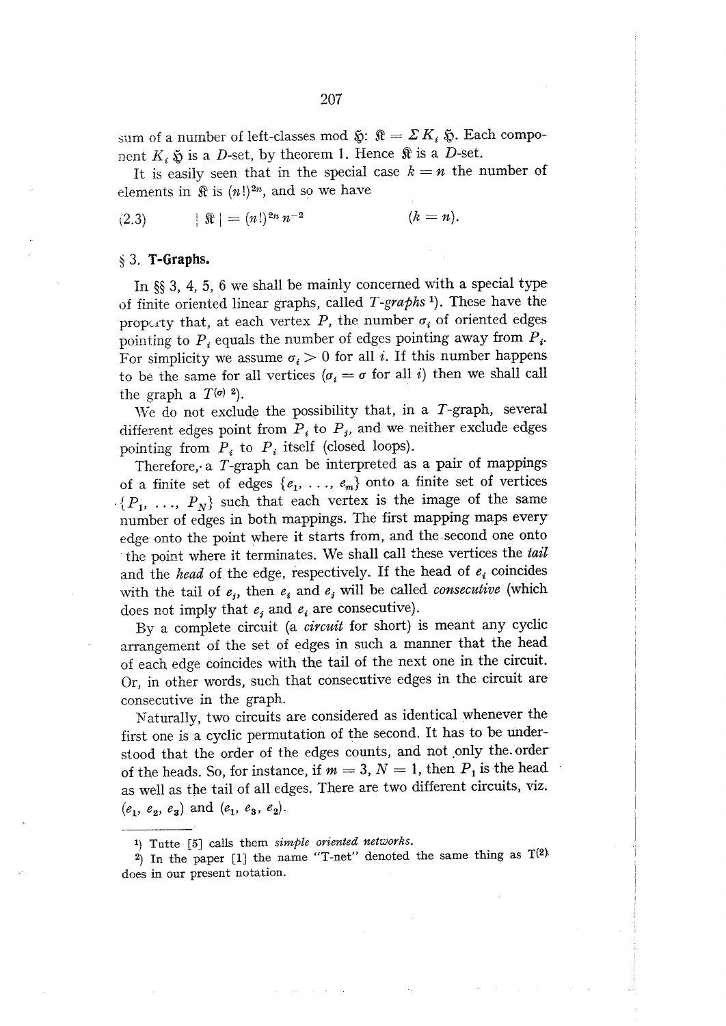sum of a number of left-classes mod  $\tilde{\mathfrak{g}}$ :  $\mathfrak{K} = \Sigma K_i \tilde{\mathfrak{g}}$ . Each component  $K_i$   $\tilde{\mathfrak{D}}$  is a *D*-set, by theorem 1. Hence  $\mathfrak{R}$  is a *D*-set.

It is easily seen that in the special case  $k = n$  the number of elements in  $\mathbb R$  is  $(n!)^{2n}$ , and so we have

 $\|\hat{\mathbf{x}}\| = (n!)^{2n} n^{-2}$  $(k = n).$  $(2.3)$ 

#### $§$  3. T-Graphs.

In  $\S$  3, 4, 5, 6 we shall be mainly concerned with a special type of finite oriented linear graphs, called T-graphs<sup>1</sup>). These have the property that, at each vertex P, the number  $\sigma_i$  of oriented edges pointing to  $P_i$  equals the number of edges pointing away from  $P_i$ . For simplicity we assume  $\sigma_i > 0$  for all i. If this number happens to be the same for all vertices  $(\sigma_i = \sigma \text{ for all } i)$  then we shall call the graph a  $T^{(\sigma)}$  2).

We do not exclude the possibility that, in a  $T$ -graph, several different edges point from  $P_i$  to  $P_j$ , and we neither exclude edges pointing from  $P_i$  to  $P_i$  itself (closed loops).

Therefore, a T-graph can be interpreted as a pair of mappings of a finite set of edges  $\{e_1, \ldots, e_m\}$  onto a finite set of vertices  $\{P_1, \ldots, P_N\}$  such that each vertex is the image of the same number of edges in both mappings. The first mapping maps every edge onto the point where it starts from, and the second one onto the point where it terminates. We shall call these vertices the tail and the head of the edge, respectively. If the head of  $e_i$  coincides with the tail of  $e_i$ , then  $e_i$  and  $e_j$  will be called *consecutive* (which does not imply that  $e_i$  and  $e_i$  are consecutive).

By a complete circuit (a *circuit* for short) is meant any cyclic arrangement of the set of edges in such a manner that the head of each edge coincides with the tail of the next one in the circuit. Or, in other words, such that consecutive edges in the circuit are consecutive in the graph.

Naturally, two circuits are considered as identical whenever the first one is a cyclic permutation of the second. It has to be understood that the order of the edges counts, and not only the order of the heads. So, for instance, if  $m = 3$ ,  $N = 1$ , then  $P_1$  is the head as well as the tail of all edges. There are two different circuits, viz.  $(e_1, e_2, e_3)$  and  $(e_1, e_3, e_2)$ .

<sup>1)</sup> Tutte [5] calls them simple oriented networks.

<sup>&</sup>lt;sup>2</sup>) In the paper [1] the name "T-net" denoted the same thing as  $T^{(2)}$ does in our present notation.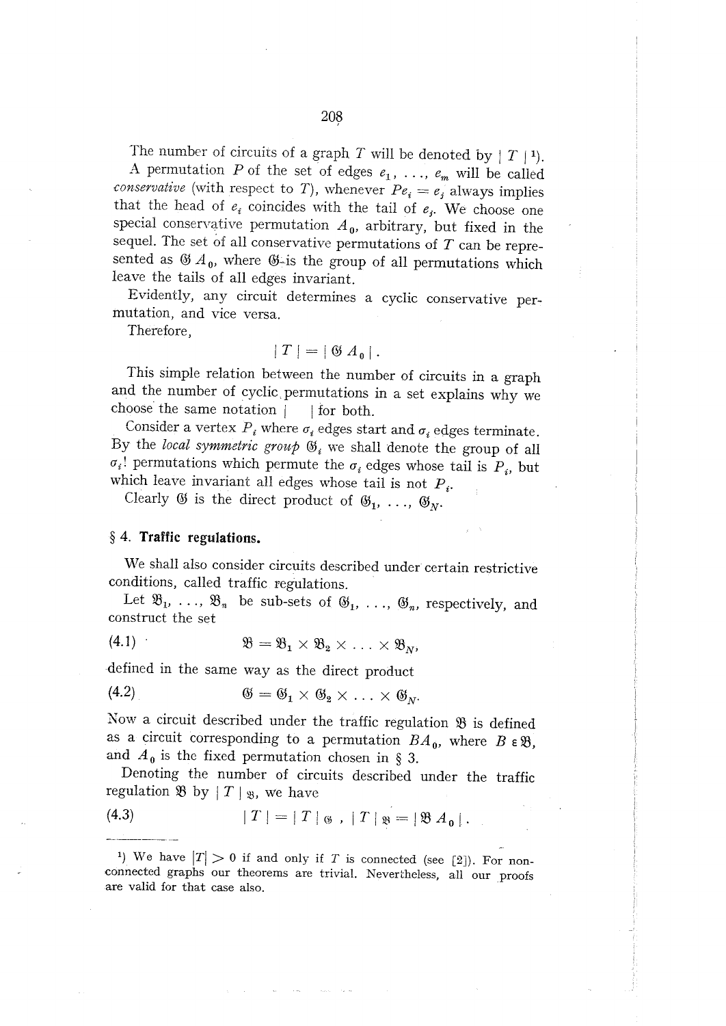The number of circuits of a graph T will be denoted by  $|T|^{1}$ ). A permutation P of the set of edges  $e_1, \ldots, e_m$  will be called *conservative* (with respect to T), whenever  $Pe_i = e_j$  always implies that the head of  $e_i$  coincides with the tail of  $e_i$ . We choose one special conservative permutation  $A_0$ , arbitrary, but fixed in the sequel. The set of all conservative permutations of  $T$  can be represented as  $\mathfrak{G} A_0$ , where  $\mathfrak{G}$ -is the group of all permutations which leave the tails of all edges invariant.

Evidently, any circuit determines a cyclic conservative permutation, and vice versa.

Therefore,

$$
|T| = | \mathfrak{G} A_{0} |.
$$

This simple relation between the number of circuits in a graph and the number of cyclic permutations in a set explains why we choose the same notation | for both.

Consider a vertex  $P_i$  where  $\sigma_i$  edges start and  $\sigma_i$  edges terminate. By the local symmetric group  $\mathfrak{G}_i$  we shall denote the group of all  $\sigma_i$ ! permutations which permute the  $\sigma_i$  edges whose tail is  $P_i$ , but which leave invariant all edges whose tail is not  $P_i$ .

Clearly  $\mathfrak{G}$  is the direct product of  $\mathfrak{G}_1, \ldots, \mathfrak{G}_N$ .

## § 4. Traffic regulations.

 $1.111$ 

We shall also consider circuits described under certain restrictive conditions, called traffic regulations.

Let  $\mathfrak{B}_1, \ldots, \mathfrak{B}_n$  be sub-sets of  $\mathfrak{G}_1, \ldots, \mathfrak{G}_n$ , respectively, and construct the set

$$
(4.1) \quad \mathfrak{B} = \mathfrak{B}_1 \times \mathfrak{B}_2 \times \ldots \times \mathfrak{B}_N,
$$

defined in the same way as the direct product

$$
(4.2) \qquad \qquad \mathfrak{G} = \mathfrak{G}_1 \times \mathfrak{G}_2 \times \ldots \times \mathfrak{G}_{n}.
$$

Now a circuit described under the traffic regulation  $\mathfrak B$  is defined as a circuit corresponding to a permutation  $BA_0$ , where  $B \in \mathfrak{B}$ , and  $A_0$  is the fixed permutation chosen in § 3.

Denoting the number of circuits described under the traffic regulation  $\mathfrak{B}$  by  $|T|$   $\mathfrak{B}$ , we have

(4.3) 
$$
|T| = |T|_{\mathfrak{B}} |T|_{\mathfrak{B}} = |\mathfrak{B} A_{\mathfrak{a}}|.
$$

<sup>1</sup>) We have  $|T| > 0$  if and only if T is connected (see [2]). For nonconnected graphs our theorems are trivial. Nevertheless, all our proofs are valid for that case also.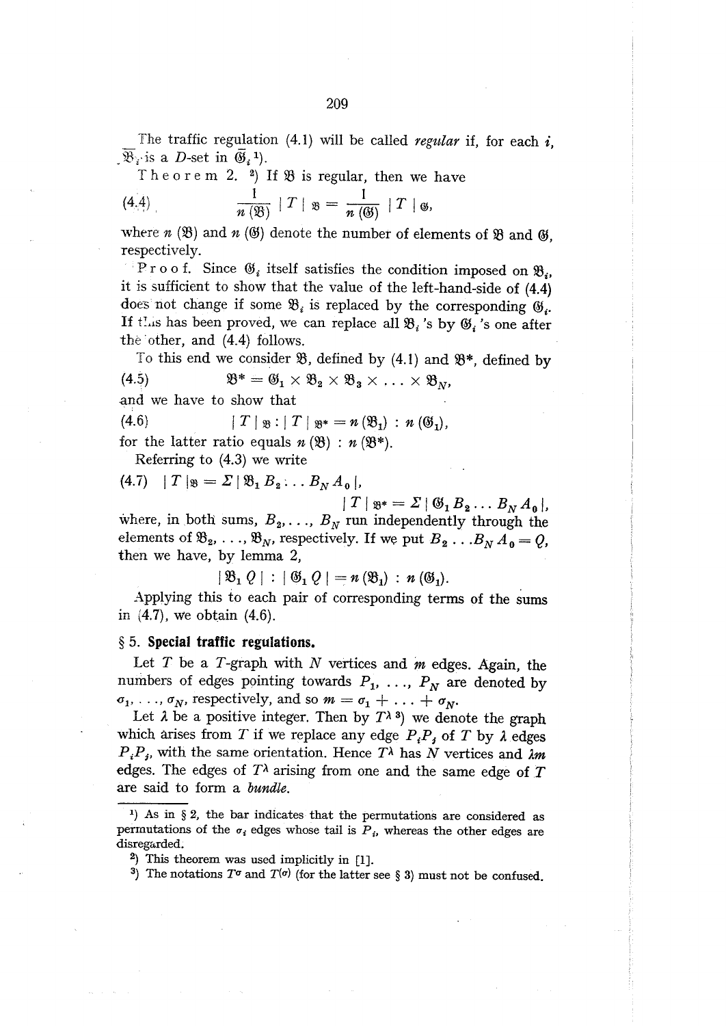The traffic regulation  $(4.1)$  will be called regular if, for each i,  $\mathcal{B}_i$  is a *D*-set in  $\mathfrak{G}_i$ <sup>1</sup>).

Theorem 2. 2) If  $\mathfrak{B}$  is regular, then we have

$$
\frac{1}{n\left(\mathfrak{B}\right)}\mid T\mid \mathfrak{B}=\frac{1}{n\left(\mathfrak{B}\right)}\mid T\mid \mathfrak{B},
$$

where  $n(\mathfrak{B})$  and  $n(\mathfrak{G})$  denote the number of elements of  $\mathfrak{B}$  and  $\mathfrak{G}$ , respectively.

<sup>1</sup> Proof. Since  $\mathfrak{G}_i$  itself satisfies the condition imposed on  $\mathfrak{B}_i$ , it is sufficient to show that the value of the left-hand-side of (4.4) does not change if some  $\mathfrak{B}_i$  is replaced by the corresponding  $\mathfrak{G}_i$ . If this has been proved, we can replace all  $\mathfrak{B}_i$  's by  $\mathfrak{G}_i$  's one after the other, and (4.4) follows.

To this end we consider  $\mathfrak{B}$ , defined by (4.1) and  $\mathfrak{B}^*$ , defined by  $\mathfrak{B}^* = \mathfrak{G}_1 \times \mathfrak{B}_2 \times \mathfrak{B}_3 \times \ldots \times \mathfrak{B}_N$  $(4.5)$ and we have to show that

 $(4.6)$  $|T|_{\mathfrak{B}}: |T|_{\mathfrak{B}^*} = n(\mathfrak{B}_1) : n(\mathfrak{G}_1),$ 

for the latter ratio equals  $n(\mathfrak{B}) : n(\mathfrak{B}^*).$ 

Referring to  $(4.3)$  we write

(4.7) |  $T |_{\mathfrak{B}} = \Sigma | \mathfrak{B}_1 B_2 ... B_N A_0 |$ ,

 $|T|_{\mathfrak{B}^*} = \Sigma |\mathfrak{G}_1 B_2 \dots B_N A_0|,$ where, in both sums,  $B_2, \ldots, B_N$  run independently through the elements of  $\mathfrak{B}_2, \ldots, \mathfrak{B}_N$ , respectively. If we put  $B_2 \ldots B_N A_0 = Q$ , then we have, by lemma 2,

 $|\mathfrak{B}_1 Q| : |\mathfrak{G}_1 Q| = n(\mathfrak{B}_1) : n(\mathfrak{G}_1).$ 

Applying this to each pair of corresponding terms of the sums in  $(4.7)$ , we obtain  $(4.6)$ .

#### § 5. Special traffic regulations.

Let  $T$  be a  $T$ -graph with  $N$  vertices and  $m$  edges. Again, the numbers of edges pointing towards  $P_1, \ldots, P_N$  are denoted by  $\sigma_1, \ldots, \sigma_N$ , respectively, and so  $m = \sigma_1 + \ldots + \sigma_N$ .

Let  $\lambda$  be a positive integer. Then by  $T^{\lambda}$ <sup>3</sup>) we denote the graph which arises from T if we replace any edge  $P_iP_j$  of T by  $\lambda$  edges  $P_i P_j$ , with the same orientation. Hence  $T^{\lambda}$  has N vertices and  $\lambda m$ edges. The edges of  $T<sup>\lambda</sup>$  arising from one and the same edge of T are said to form a bundle.

<sup>1)</sup> As in  $\S 2$ , the bar indicates that the permutations are considered as permutations of the  $\sigma_i$  edges whose tail is  $P_i$ , whereas the other edges are disregarded.

<sup>&</sup>lt;sup>2</sup>) This theorem was used implicitly in  $[1]$ .

<sup>&</sup>lt;sup>3</sup>) The notations  $T^{\sigma}$  and  $T^{(\sigma)}$  (for the latter see § 3) must not be confused.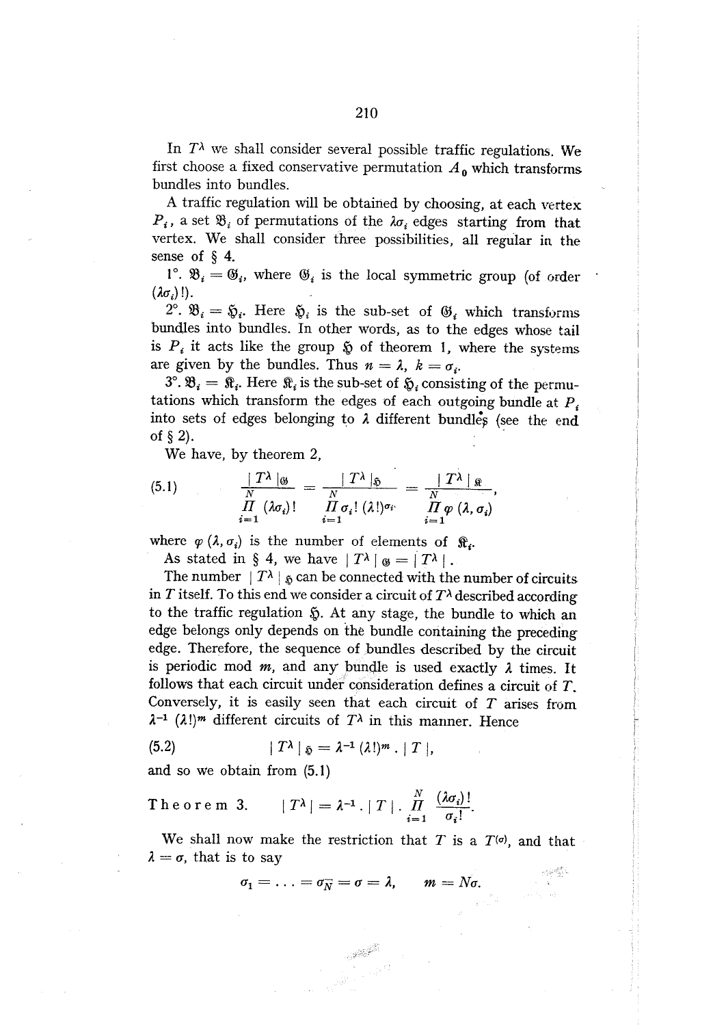In  $T^{\lambda}$  we shall consider several possible traffic regulations. We first choose a fixed conservative permutation  $A_0$  which transforms bundles into bundles.

A traffic regulation will be obtained by choosing, at each vertex  $P_i$ , a set  $\mathfrak{B}_i$  of permutations of the  $\lambda \sigma_i$  edges starting from that vertex. We shall consider three possibilities, all regular in the sense of  $\S$  4.

1°.  $\mathfrak{B}_i = \mathfrak{G}_i$ , where  $\mathfrak{G}_i$  is the local symmetric group (of order  $(\lambda \sigma_i)!$ .

 $2^{\circ}$ .  $\mathfrak{B}_i = \mathfrak{H}_i$ . Here  $\mathfrak{H}_i$  is the sub-set of  $\mathfrak{G}_i$  which transforms bundles into bundles. In other words, as to the edges whose tail is  $P_i$  it acts like the group  $\delta_i$  of theorem 1, where the systems are given by the bundles. Thus  $n = \lambda$ ,  $k = \sigma_i$ .

 $3^\circ$ .  $\mathfrak{B}_i = \mathfrak{R}_i$ . Here  $\mathfrak{R}_i$  is the sub-set of  $\mathfrak{H}_i$  consisting of the permutations which transform the edges of each outgoing bundle at  $P_i$ into sets of edges belonging to  $\lambda$  different bundles (see the end of  $\S$  2).

We have, by theorem 2,

(5.1) 
$$
\frac{|T^{\lambda}|_{\mathfrak{G}}}{\prod\limits_{i=1}^{N}(\lambda\sigma_{i})!}=\frac{|T^{\lambda}|_{\mathfrak{G}}}{\prod\limits_{i=1}^{N}\sigma_{i}! (\lambda!)^{\sigma_{i}}}=\frac{|T^{\lambda}|_{\mathfrak{F}}}{\prod\limits_{i=1}^{N}\varphi(\lambda,\sigma_{i})},
$$

where  $\varphi(\lambda, \sigma_i)$  is the number of elements of  $\hat{\mathbf{x}}_i$ .

As stated in § 4, we have  $|T^{\lambda}|_{\mathfrak{G}} = |T^{\lambda}|$ .

The number  $|T^{\lambda}|$  is can be connected with the number of circuits in T itself. To this end we consider a circuit of  $T^{\lambda}$  described according to the traffic regulation  $\S$ . At any stage, the bundle to which an edge belongs only depends on the bundle containing the preceding edge. Therefore, the sequence of bundles described by the circuit is periodic mod  $m$ , and any bundle is used exactly  $\lambda$  times. It follows that each circuit under consideration defines a circuit of  $T$ . Conversely, it is easily seen that each circuit of  $T$  arises from  $\lambda^{-1}$  ( $\lambda$ !)<sup>*m*</sup> different circuits of  $T^{\lambda}$  in this manner. Hence

$$
(5.2) \t\t\t |T^{\lambda}|_{\mathfrak{H}} = \lambda^{-1} (\lambda!)^{m} \cdot |T|,
$$

and so we obtain from  $(5.1)$ 

Theorem 3. 
$$
|T^{\lambda}| = \lambda^{-1} \cdot |T| \cdot \prod_{i=1}^{N} \frac{(\lambda \sigma_i)!}{\sigma_i!}
$$
.

We shall now make the restriction that T is a  $T^{(0)}$ , and that  $\lambda = \sigma$ , that is to say

$$
r_1=\ldots=\sigma_{\overline{N}}=\sigma=\lambda,\qquad m=N\sigma.
$$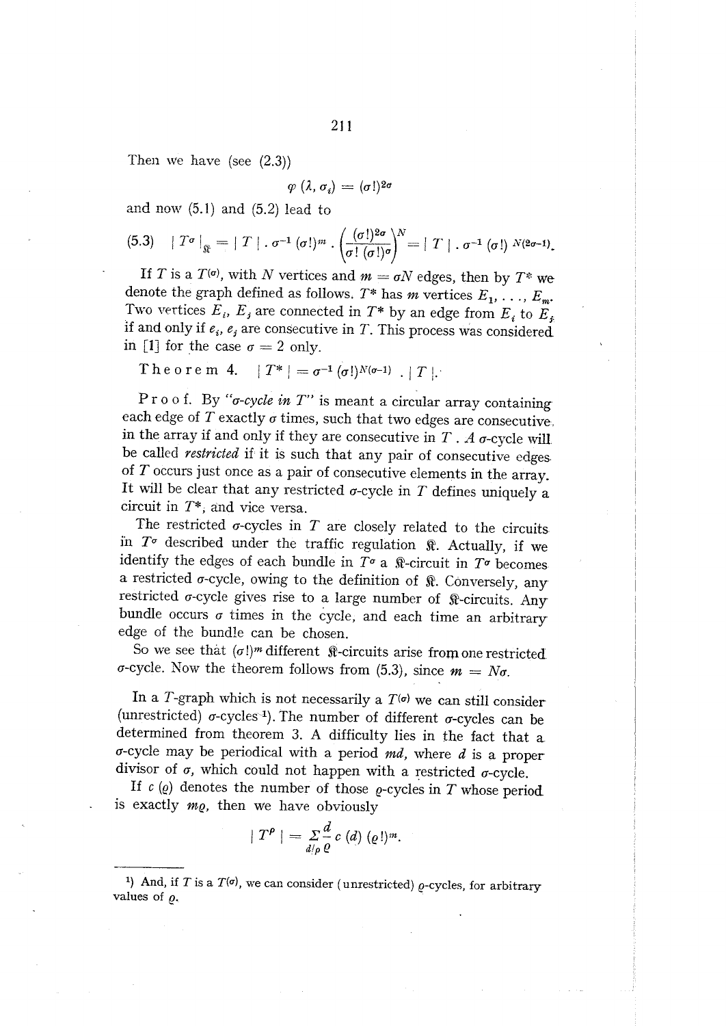Then we have (see  $(2.3)$ )

$$
\varphi(\lambda, \sigma_i) = (\sigma!)^{2\sigma}
$$

and now  $(5.1)$  and  $(5.2)$  lead to

$$
(5.3) \quad |T^{\sigma}|_{\mathfrak{F}} = |T| \cdot \sigma^{-1}(\sigma!)^{m} \cdot \left(\frac{(\sigma!)^{2\sigma}}{\sigma! (\sigma!)^{\sigma}}\right)^{N} = |T| \cdot \sigma^{-1}(\sigma!)^{N(2\sigma-1)}.
$$

If T is a  $T^{(0)}$ , with N vertices and  $m = \sigma N$  edges, then by  $T^*$  we denote the graph defined as follows.  $T^*$  has m vertices  $E_1, \ldots, E_m$ . Two vertices  $E_i$ ,  $E_j$  are connected in  $T^*$  by an edge from  $E_i$  to  $E_j$ if and only if  $e_i$ ,  $e_j$  are consecutive in T. This process was considered in [1] for the case  $\sigma = 2$  only.

Theorem 4. 
$$
|T^*| = \sigma^{-1}(\sigma!)^{N(\sigma-1)}
$$
.  $|T|$ .

Proof. By " $\sigma$ -cycle in T" is meant a circular array containing each edge of  $T$  exactly  $\sigma$  times, such that two edges are consecutive. in the array if and only if they are consecutive in  $T$ . A  $\sigma$ -cycle will be called *restricted* if it is such that any pair of consecutive edges. of  $T$  occurs just once as a pair of consecutive elements in the array. It will be clear that any restricted  $\sigma$ -cycle in T defines uniquely a circuit in  $T^*$ , and vice versa.

The restricted  $\sigma$ -cycles in  $T$  are closely related to the circuits in  $T^{\sigma}$  described under the traffic regulation  $\Re$ . Actually, if we identify the edges of each bundle in  $T^{\sigma}$  a  $\Re$ -circuit in  $T^{\sigma}$  becomes a restricted  $\sigma$ -cycle, owing to the definition of  $\Re$ . Conversely, any restricted  $\sigma$ -cycle gives rise to a large number of  $\Re$ -circuits. Any bundle occurs  $\sigma$  times in the cycle, and each time an arbitrary edge of the bundle can be chosen.

So we see that  $(\sigma!)^m$  different  $\hat{\mathbb{R}}$ -circuits arise from one restricted  $\sigma$ -cycle. Now the theorem follows from (5.3), since  $m = N\sigma$ .

In a T-graph which is not necessarily a  $T^{(0)}$  we can still consider (unrestricted)  $\sigma$ -cycles<sup>-1</sup>). The number of different  $\sigma$ -cycles can be determined from theorem 3. A difficulty lies in the fact that a  $\sigma$ -cycle may be periodical with a period  $md$ , where  $d$  is a proper divisor of  $\sigma$ , which could not happen with a restricted  $\sigma$ -cycle.

If  $c(\rho)$  denotes the number of those  $\rho$ -cycles in T whose period is exactly  $m\varrho$ , then we have obviously

$$
|T^{\rho}| = \sum_{d/\rho} \frac{d}{\varrho} c(d) (\varrho!)^{m}.
$$

<sup>&</sup>lt;sup>1</sup>) And, if T is a  $T^{(q)}$ , we can consider (unrestricted)  $\rho$ -cycles, for arbitrary values of  $\rho$ .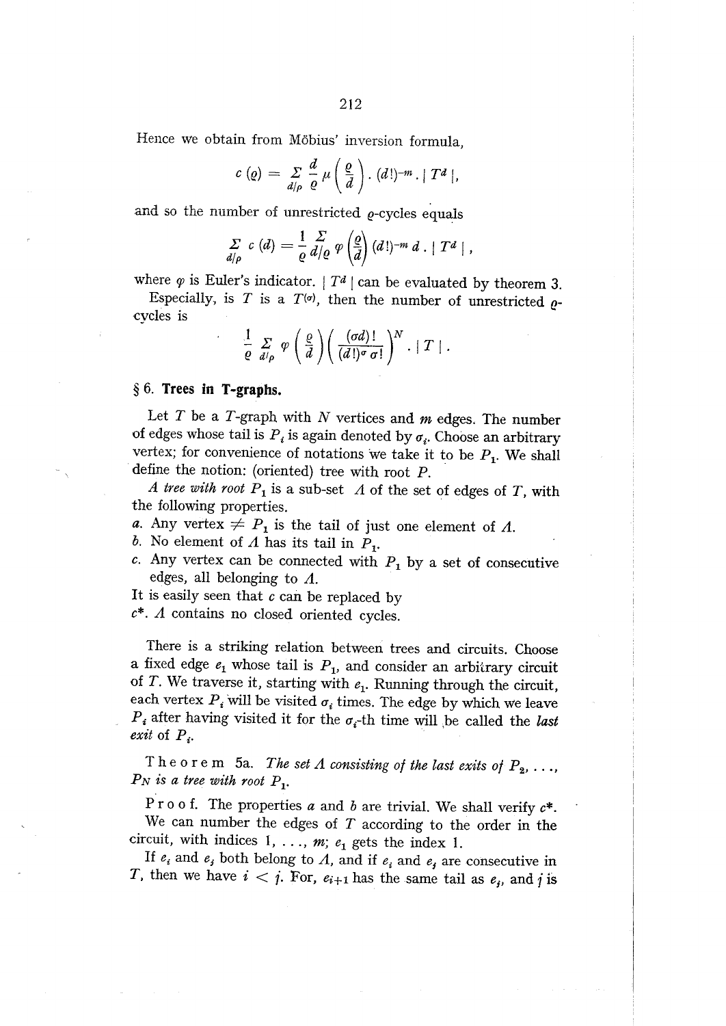Hence we obtain from Möbius' inversion formula,

$$
c\left(\varrho\right)=\sum_{d\mid\rho}\frac{d}{\varrho}\mu\left(\frac{\varrho}{d}\right). \left(d!\right)^{-m}. \mid T^d\mid,
$$

and so the number of unrestricted  $\rho$ -cycles equals

$$
\sum_{d/\rho} c(d) = \frac{1}{\varrho} \frac{\varSigma}{d/\varrho} \varphi \left(\frac{\varrho}{d}\right) (d!)^{-m} d \cdot |T^d|,
$$

where  $\varphi$  is Euler's indicator. |  $T^d$  | can be evaluated by theorem 3.

Especially, is T is a  $T^{(0)}$ , then the number of unrestricted  $\rho$ cycles is

$$
\frac{1}{\varrho}\sum_{d/\rho}\varphi\left(\frac{\varrho}{d}\right)\left(\frac{(\sigma d)!}{(d!)^\sigma\sigma!}\right)^N\cdot\mid T\mid.
$$

## $§ 6.$  Trees in T-graphs.

Let  $T$  be a  $T$ -graph with  $N$  vertices and  $m$  edges. The number of edges whose tail is  $P_i$  is again denoted by  $\sigma_i$ . Choose an arbitrary vertex; for convenience of notations we take it to be  $P_1$ . We shall define the notion: (oriented) tree with root  $P$ .

A tree with root  $P_1$  is a sub-set  $\Lambda$  of the set of edges of T, with the following properties.

- a. Any vertex  $\neq P_1$  is the tail of just one element of  $\Lambda$ .
- b. No element of  $\Lambda$  has its tail in  $P_1$ .
- c. Any vertex can be connected with  $P_1$  by a set of consecutive edges, all belonging to  $\Lambda$ .
- It is easily seen that  $c$  can be replaced by

 $c^*$ . A contains no closed oriented cycles.

There is a striking relation between trees and circuits. Choose a fixed edge  $e_1$  whose tail is  $P_1$ , and consider an arbitrary circuit of T. We traverse it, starting with  $e_1$ . Running through the circuit, each vertex  $P_i$  will be visited  $\sigma_i$  times. The edge by which we leave  $P_i$  after having visited it for the  $\sigma_i$ -th time will be called the *last* exit of  $P_i$ .

Theorem 5a. The set  $\Lambda$  consisting of the last exits of  $P_2, \ldots$ ,  $P_N$  is a tree with root  $P_1$ .

Proof. The properties a and b are trivial. We shall verify  $c^*$ . We can number the edges of  $T$  according to the order in the circuit, with indices 1, ...,  $m$ ;  $e_1$  gets the index 1.

If  $e_i$  and  $e_j$  both belong to  $\Lambda$ , and if  $e_i$  and  $e_j$  are consecutive in T, then we have  $i < j$ . For,  $e_{i+1}$  has the same tail as  $e_j$ , and j is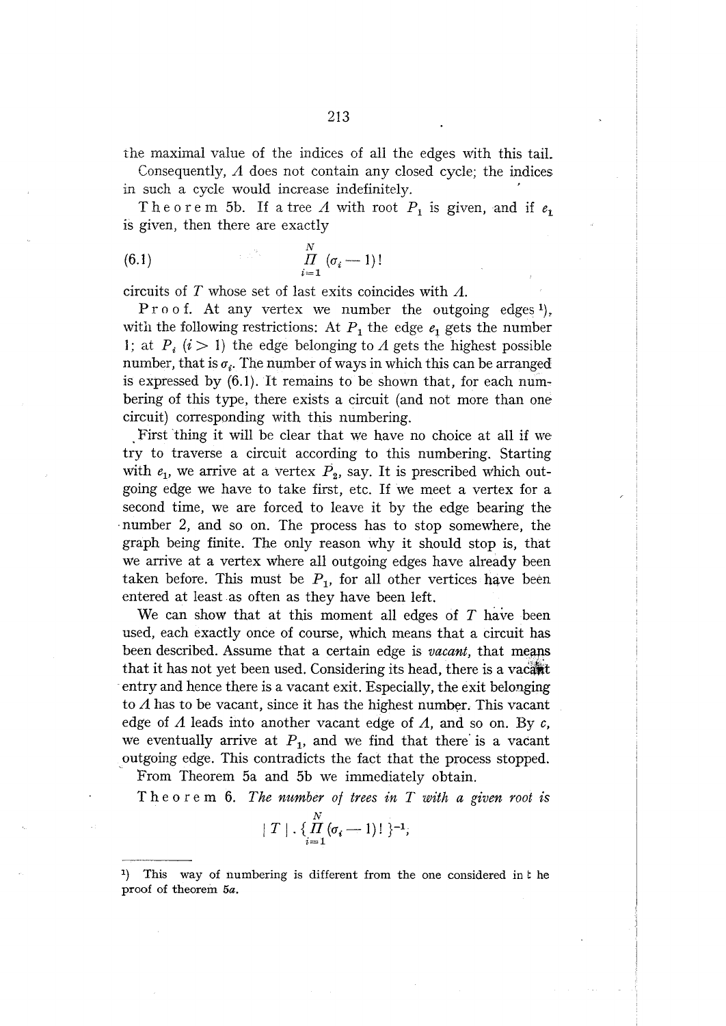the maximal value of the indices of all the edges with this tail.

Consequently,  $\Lambda$  does not contain any closed cycle; the indices in such a cycle would increase indefinitely.

Theorem 5b. If a tree A with root  $P_1$  is given, and if  $e_1$ is given, then there are exactly

circuits of T whose set of last exits coincides with  $\Lambda$ .

Proof. At any vertex we number the outgoing edges<sup>1</sup>), with the following restrictions: At  $P_1$  the edge  $e_1$  gets the number 1; at  $P_i$  (i > 1) the edge belonging to A gets the highest possible number, that is  $\sigma_i$ . The number of ways in which this can be arranged is expressed by  $(6.1)$ . It remains to be shown that, for each numbering of this type, there exists a circuit (and not more than one circuit) corresponding with this numbering.

First thing it will be clear that we have no choice at all if we try to traverse a circuit according to this numbering. Starting with  $e_1$ , we arrive at a vertex  $\vec{P}_2$ , say. It is prescribed which outgoing edge we have to take first, etc. If we meet a vertex for a second time, we are forced to leave it by the edge bearing the number 2, and so on. The process has to stop somewhere, the graph being finite. The only reason why it should stop is, that we arrive at a vertex where all outgoing edges have already been taken before. This must be  $P_1$ , for all other vertices have been entered at least as often as they have been left.

We can show that at this moment all edges of  $T$  have been used, each exactly once of course, which means that a circuit has been described. Assume that a certain edge is *vacant*, that means that it has not yet been used. Considering its head, there is a vacant entry and hence there is a vacant exit. Especially, the exit belonging to  $\Lambda$  has to be vacant, since it has the highest number. This vacant edge of  $\Lambda$  leads into another vacant edge of  $\Lambda$ , and so on. By c, we eventually arrive at  $P_1$ , and we find that there is a vacant outgoing edge. This contradicts the fact that the process stopped.

From Theorem 5a and 5b we immediately obtain.

Theorem 6. The number of trees in T with a given root is

$$
\mid T \mid .\left\{ \frac{N}{H}(\sigma_i \longrightarrow 1) \mid \right\}^{-1};
$$

This way of numbering is different from the one considered in the I). proof of theorem 5a.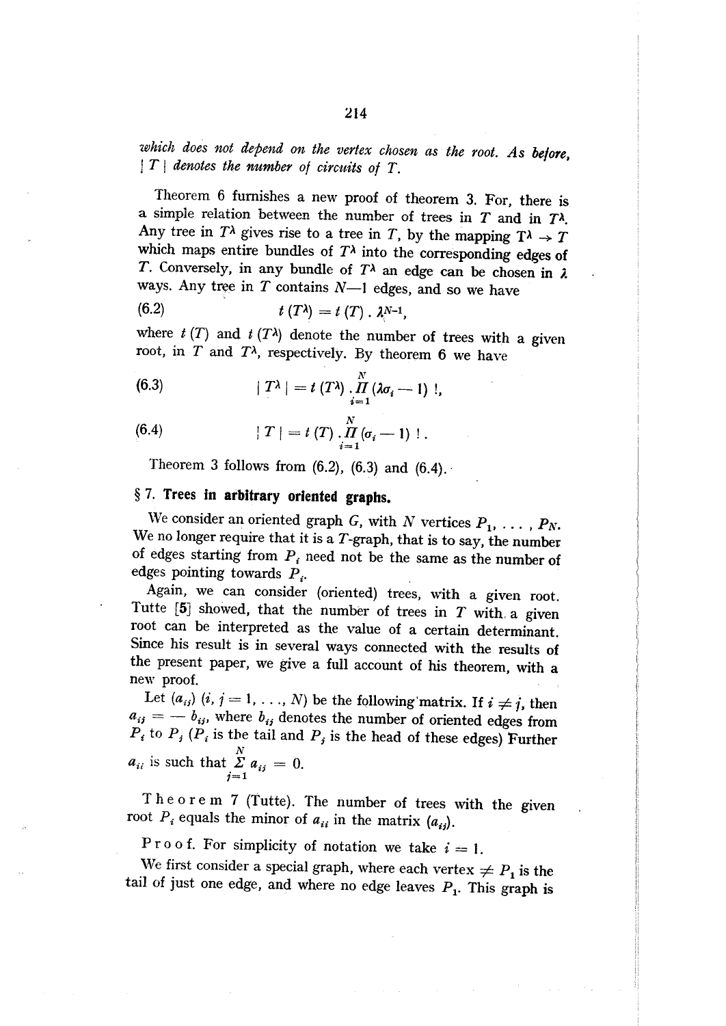which does not depend on the vertex chosen as the root. As before,  $|T|$  denotes the number of circuits of T.

Theorem 6 furnishes a new proof of theorem 3. For, there is a simple relation between the number of trees in  $T$  and in  $T^{\lambda}$ . Any tree in  $T^{\lambda}$  gives rise to a tree in T, by the mapping  $T^{\lambda} \rightarrow T$ which maps entire bundles of  $T<sup>\lambda</sup>$  into the corresponding edges of T. Conversely, in any bundle of  $T^{\lambda}$  an edge can be chosen in  $\lambda$ ways. Any tree in  $T$  contains  $N-1$  edges, and so we have

(6.2) 
$$
t(T\lambda) = t(T) \cdot \lambda^{N-1},
$$

where  $t(T)$  and  $t(T^{\lambda})$  denote the number of trees with a given root, in  $T$  and  $T<sup>\lambda</sup>$ , respectively. By theorem 6 we have

(6.3) 
$$
|T^{\lambda}| = t (T^{\lambda}) \cdot \prod_{i=1}^{N} (\lambda \sigma_i - 1)!,
$$

(6.4) 
$$
|T| = t(T) \cdot \prod_{i=1}^{N} (\sigma_i - 1) 1.
$$

Theorem 3 follows from  $(6.2)$ ,  $(6.3)$  and  $(6.4)$ .

## § 7. Trees in arbitrary oriented graphs.

We consider an oriented graph G, with N vertices  $P_1, \ldots, P_N$ . We no longer require that it is a  $T$ -graph, that is to say, the number of edges starting from  $P_i$  need not be the same as the number of edges pointing towards  $P_i$ .

Again, we can consider (oriented) trees, with a given root. Tutte  $[5]$  showed, that the number of trees in  $T$  with a given root can be interpreted as the value of a certain determinant. Since his result is in several ways connected with the results of the present paper, we give a full account of his theorem, with a new proof.

Let  $(a_{ij})$   $(i, j = 1, ..., N)$  be the following matrix. If  $i \neq j$ , then  $a_{ij} = -b_{ij}$ , where  $b_{ij}$  denotes the number of oriented edges from  $P_i$  to  $P_j$  ( $P_i$  is the tail and  $P_j$  is the head of these edges) Further  $a_{ii}$  is such that  $\sum_{j=1}^{N} a_{ij} = 0$ .

Theorem 7 (Tutte). The number of trees with the given root  $P_i$  equals the minor of  $a_{ii}$  in the matrix  $(a_{ij})$ .

Proof. For simplicity of notation we take  $i = 1$ .

We first consider a special graph, where each vertex  $\neq P_1$  is the tail of just one edge, and where no edge leaves  $P_1$ . This graph is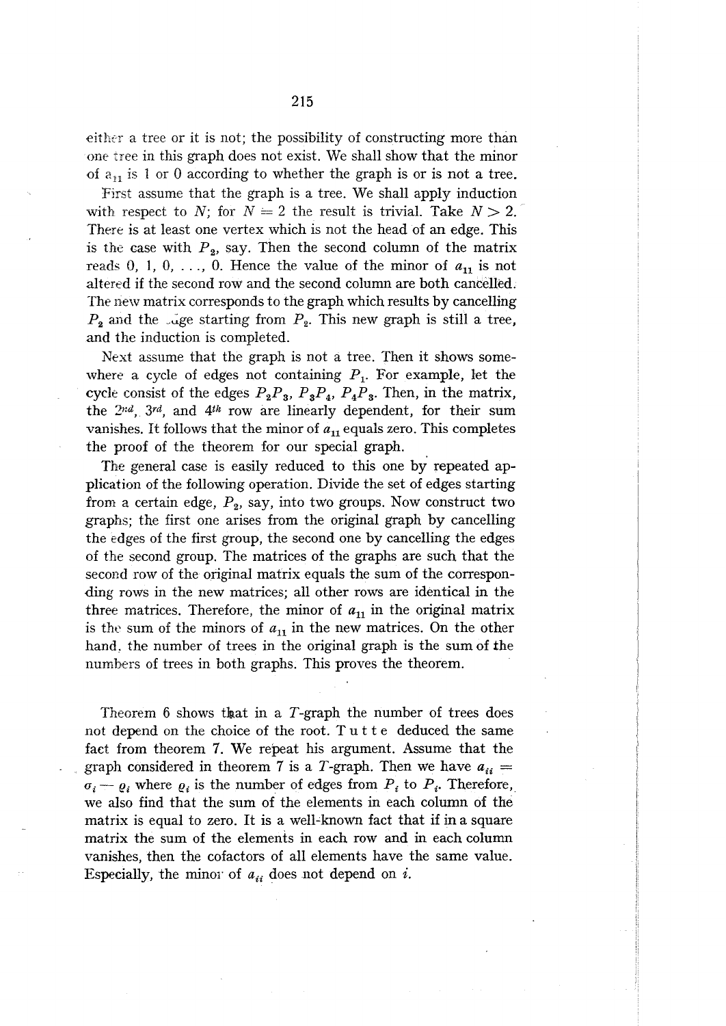either a tree or it is not; the possibility of constructing more than one tree in this graph does not exist. We shall show that the minor of  $a_{11}$  is 1 or 0 according to whether the graph is or is not a tree.

First assume that the graph is a tree. We shall apply induction with respect to N; for  $N = 2$  the result is trivial. Take  $N > 2$ . There is at least one vertex which is not the head of an edge. This is the case with  $P_2$ , say. Then the second column of the matrix reads 0, 1, 0, ..., 0. Hence the value of the minor of  $a_{11}$  is not altered if the second row and the second column are both cancelled. The new matrix corresponds to the graph which results by cancelling  $P_2$  and the use starting from  $P_2$ . This new graph is still a tree, and the induction is completed.

Next assume that the graph is not a tree. Then it shows somewhere a cycle of edges not containing  $P_1$ . For example, let the cycle consist of the edges  $P_2P_3$ ,  $P_3P_4$ ,  $P_4P_3$ . Then, in the matrix, the 2nd, 3rd, and 4th row are linearly dependent, for their sum vanishes. It follows that the minor of  $a_{11}$  equals zero. This completes the proof of the theorem for our special graph.

The general case is easily reduced to this one by repeated application of the following operation. Divide the set of edges starting from a certain edge,  $P_2$ , say, into two groups. Now construct two graphs; the first one arises from the original graph by cancelling the edges of the first group, the second one by cancelling the edges of the second group. The matrices of the graphs are such that the second row of the original matrix equals the sum of the corresponding rows in the new matrices; all other rows are identical in the three matrices. Therefore, the minor of  $a_{11}$  in the original matrix is the sum of the minors of  $a_{11}$  in the new matrices. On the other hand, the number of trees in the original graph is the sum of the numbers of trees in both graphs. This proves the theorem.

Theorem 6 shows that in a  $T$ -graph the number of trees does not depend on the choice of the root. Tutte deduced the same fact from theorem 7. We repeat his argument. Assume that the graph considered in theorem 7 is a T-graph. Then we have  $a_{ii} =$  $\sigma_i - \varrho_i$  where  $\varrho_i$  is the number of edges from  $P_i$  to  $P_i$ . Therefore, we also find that the sum of the elements in each column of the matrix is equal to zero. It is a well-known fact that if in a square matrix the sum of the elements in each row and in each column vanishes, then the cofactors of all elements have the same value. Especially, the minor of  $a_{ii}$  does not depend on i.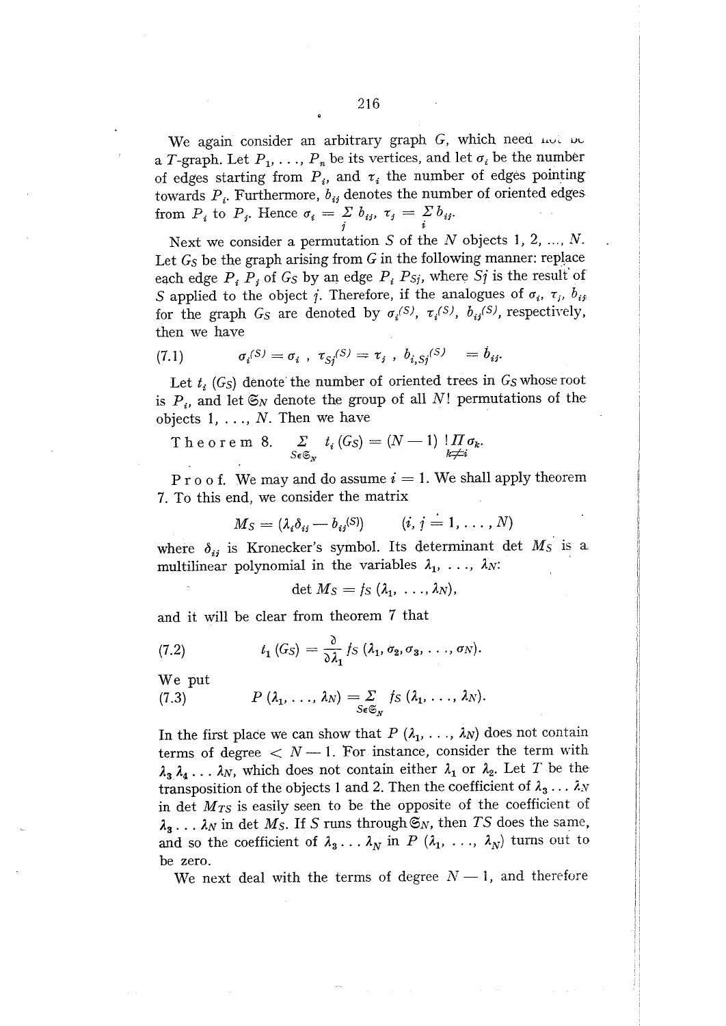a T-graph. Let  $P_1, \ldots, P_n$  be its vertices, and let  $\sigma_i$  be the number of edges starting from  $P_i$ , and  $\tau_i$  the number of edges pointing towards  $P_i$ . Furthermore,  $b_{ij}$  denotes the number of oriented edges from  $P_i$  to  $P_j$ . Hence  $\sigma_i = \sum_i b_{ij}$ ,  $\tau_j = \sum_i b_{ij}$ .

216

Next we consider a permutation S of the N objects 1, 2, ..., N. Let  $G_S$  be the graph arising from  $G$  in the following manner: replace each edge  $P_i P_j$  of  $G_S$  by an edge  $P_i P_{Sj}$ , where  $Sj$  is the result of S applied to the object j. Therefore, if the analogues of  $\sigma_i$ ,  $\tau_j$ ,  $b_{ij}$ for the graph  $G_S$  are denoted by  $\sigma_i^{(S)}$ ,  $\tau_i^{(S)}$ ,  $b_{ij}^{(S)}$ , respectively, then we have

(7.1) 
$$
\sigma_i^{(S)} = \sigma_i , \ \tau_{Sj}^{(S)} = \tau_j , \ b_{i,Sj}^{(S)} = b_{ij}.
$$

Let  $t_i$  (G<sub>S</sub>) denote the number of oriented trees in  $G_S$  whose root is  $P_i$ , and let  $\mathfrak{S}_N$  denote the group of all N! permutations of the objects  $1, \ldots, N$ . Then we have

 $\sum_{S \in \mathfrak{S}_N} t_i (G_S) = (N-1) \prod_{k \neq i} \sigma_k.$ Theorem 8.

P r o o f. We may and do assume  $i = 1$ . We shall apply theorem 7. To this end, we consider the matrix

$$
M_S = (\lambda_i \delta_{ij} - b_{ij}^{(S)}) \qquad (i, j = 1, ..., N)
$$

where  $\delta_{ij}$  is Kronecker's symbol. Its determinant det  $M_S$  is a multilinear polynomial in the variables  $\lambda_1, \ldots, \lambda_N$ :

$$
\det M_S = f_S(\lambda_1, \ldots, \lambda_N),
$$

and it will be clear from theorem 7 that

(7.2) 
$$
t_1(G_S) = \frac{\partial}{\partial \lambda_1} f_S(\lambda_1, \sigma_2, \sigma_3, \ldots, \sigma_N).
$$

We put

$$
(7.3) \tP (\lambda_1, \ldots, \lambda_N) = \sum_{S \in \mathfrak{S}_N} f_S (\lambda_1, \ldots, \lambda_N).
$$

In the first place we can show that  $P(\lambda_1, \ldots, \lambda_N)$  does not contain terms of degree  $\langle N-1,$  For instance, consider the term with  $\lambda_3 \lambda_4 \ldots \lambda_N$ , which does not contain either  $\lambda_1$  or  $\lambda_2$ . Let T be the transposition of the objects 1 and 2. Then the coefficient of  $\lambda_3 \ldots \lambda_N$ in det  $M_{TS}$  is easily seen to be the opposite of the coefficient of  $\lambda_3 \ldots \lambda_N$  in det  $M_S$ . If S runs through  $\mathfrak{S}_N$ , then TS does the same, and so the coefficient of  $\lambda_3 \ldots \lambda_N$  in P  $(\lambda_1, \ldots, \lambda_N)$  turns out to be zero.

We next deal with the terms of degree  $N-1$ , and therefore